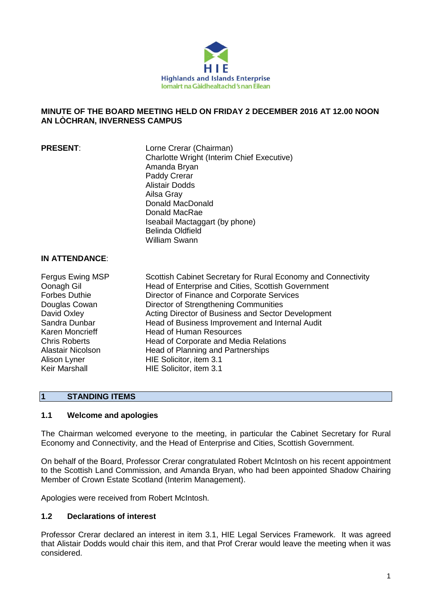

# **MINUTE OF THE BOARD MEETING HELD ON FRIDAY 2 DECEMBER 2016 AT 12.00 NOON AN LÒCHRAN, INVERNESS CAMPUS**

**PRESENT:** Lorne Crerar (Chairman) Charlotte Wright (Interim Chief Executive) Amanda Bryan Paddy Crerar Alistair Dodds Ailsa Gray Donald MacDonald Donald MacRae Iseabail Mactaggart (by phone) Belinda Oldfield William Swann

# **IN ATTENDANCE**:

| Fergus Ewing MSP     | Scottish Cabinet Secretary for Rural Economy and Connectivity |
|----------------------|---------------------------------------------------------------|
| Oonagh Gil           | Head of Enterprise and Cities, Scottish Government            |
| <b>Forbes Duthie</b> | Director of Finance and Corporate Services                    |
| Douglas Cowan        | Director of Strengthening Communities                         |
| David Oxley          | Acting Director of Business and Sector Development            |
| Sandra Dunbar        | Head of Business Improvement and Internal Audit               |
| Karen Moncrieff      | <b>Head of Human Resources</b>                                |
| <b>Chris Roberts</b> | Head of Corporate and Media Relations                         |
| Alastair Nicolson    | Head of Planning and Partnerships                             |
| Alison Lyner         | HIE Solicitor, item 3.1                                       |
| Keir Marshall        | HIE Solicitor, item 3.1                                       |

# **1 STANDING ITEMS**

## **1.1 Welcome and apologies**

The Chairman welcomed everyone to the meeting, in particular the Cabinet Secretary for Rural Economy and Connectivity, and the Head of Enterprise and Cities, Scottish Government.

On behalf of the Board, Professor Crerar congratulated Robert McIntosh on his recent appointment to the Scottish Land Commission, and Amanda Bryan, who had been appointed Shadow Chairing Member of Crown Estate Scotland (Interim Management).

Apologies were received from Robert McIntosh.

## **1.2 Declarations of interest**

Professor Crerar declared an interest in item 3.1, HIE Legal Services Framework. It was agreed that Alistair Dodds would chair this item, and that Prof Crerar would leave the meeting when it was considered.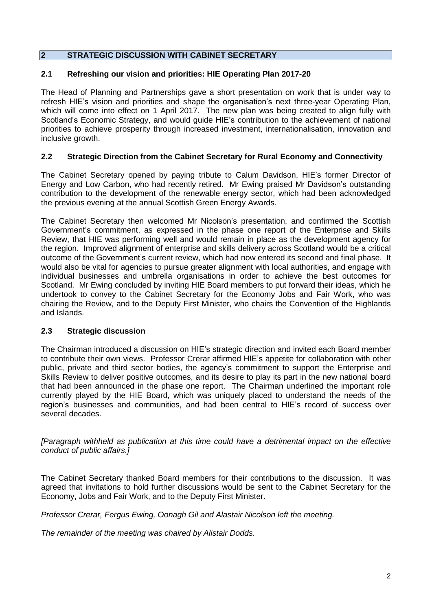# **2 STRATEGIC DISCUSSION WITH CABINET SECRETARY**

### **2.1 Refreshing our vision and priorities: HIE Operating Plan 2017-20**

The Head of Planning and Partnerships gave a short presentation on work that is under way to refresh HIE's vision and priorities and shape the organisation's next three-year Operating Plan, which will come into effect on 1 April 2017. The new plan was being created to align fully with Scotland's Economic Strategy, and would guide HIE's contribution to the achievement of national priorities to achieve prosperity through increased investment, internationalisation, innovation and inclusive growth.

### **2.2 Strategic Direction from the Cabinet Secretary for Rural Economy and Connectivity**

The Cabinet Secretary opened by paying tribute to Calum Davidson, HIE's former Director of Energy and Low Carbon, who had recently retired. Mr Ewing praised Mr Davidson's outstanding contribution to the development of the renewable energy sector, which had been acknowledged the previous evening at the annual Scottish Green Energy Awards.

The Cabinet Secretary then welcomed Mr Nicolson's presentation, and confirmed the Scottish Government's commitment, as expressed in the phase one report of the Enterprise and Skills Review, that HIE was performing well and would remain in place as the development agency for the region. Improved alignment of enterprise and skills delivery across Scotland would be a critical outcome of the Government's current review, which had now entered its second and final phase. It would also be vital for agencies to pursue greater alignment with local authorities, and engage with individual businesses and umbrella organisations in order to achieve the best outcomes for Scotland. Mr Ewing concluded by inviting HIE Board members to put forward their ideas, which he undertook to convey to the Cabinet Secretary for the Economy Jobs and Fair Work, who was chairing the Review, and to the Deputy First Minister, who chairs the Convention of the Highlands and Islands.

## **2.3 Strategic discussion**

The Chairman introduced a discussion on HIE's strategic direction and invited each Board member to contribute their own views. Professor Crerar affirmed HIE's appetite for collaboration with other public, private and third sector bodies, the agency's commitment to support the Enterprise and Skills Review to deliver positive outcomes, and its desire to play its part in the new national board that had been announced in the phase one report. The Chairman underlined the important role currently played by the HIE Board, which was uniquely placed to understand the needs of the region's businesses and communities, and had been central to HIE's record of success over several decades.

*[Paragraph withheld as publication at this time could have a detrimental impact on the effective conduct of public affairs.]*

The Cabinet Secretary thanked Board members for their contributions to the discussion. It was agreed that invitations to hold further discussions would be sent to the Cabinet Secretary for the Economy, Jobs and Fair Work, and to the Deputy First Minister.

*Professor Crerar, Fergus Ewing, Oonagh Gil and Alastair Nicolson left the meeting.*

*The remainder of the meeting was chaired by Alistair Dodds.*